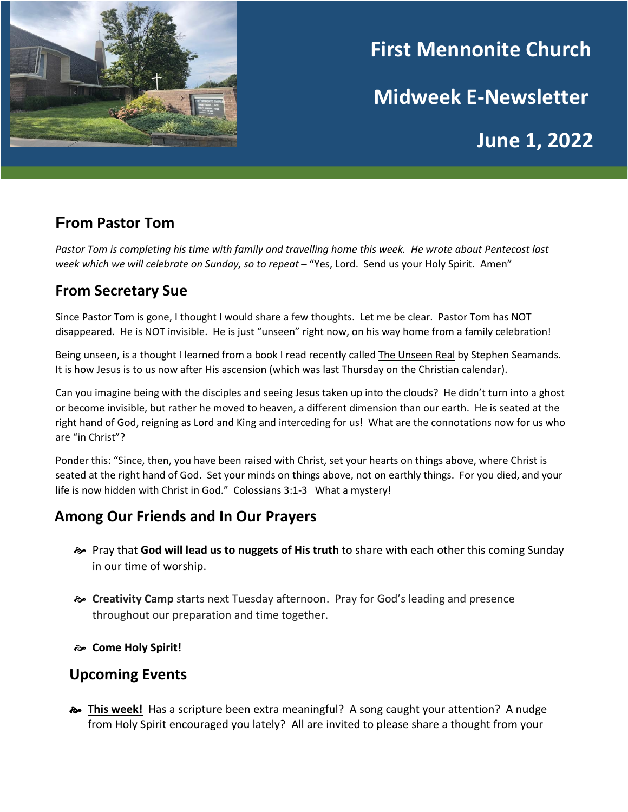

# **First Mennonite Church**

**Midweek E-Newsletter**

**June 1, 2022**

# **From Pastor Tom**

*Pastor Tom is completing his time with family and travelling home this week. He wrote about Pentecost last week which we will celebrate on Sunday, so to repeat* – "Yes, Lord. Send us your Holy Spirit. Amen"

## **From Secretary Sue**

Since Pastor Tom is gone, I thought I would share a few thoughts. Let me be clear. Pastor Tom has NOT disappeared. He is NOT invisible. He is just "unseen" right now, on his way home from a family celebration!

Being unseen, is a thought I learned from a book I read recently called The Unseen Real by Stephen Seamands. It is how Jesus is to us now after His ascension (which was last Thursday on the Christian calendar).

Can you imagine being with the disciples and seeing Jesus taken up into the clouds? He didn't turn into a ghost or become invisible, but rather he moved to heaven, a different dimension than our earth. He is seated at the right hand of God, reigning as Lord and King and interceding for us! What are the connotations now for us who are "in Christ"?

Ponder this: "Since, then, you have been raised with Christ, set your hearts on things above, where Christ is seated at the right hand of God. Set your minds on things above, not on earthly things. For you died, and your life is now hidden with Christ in God." Colossians 3:1-3 What a mystery!

# **Among Our Friends and In Our Prayers**

- Pray that **God will lead us to nuggets of His truth** to share with each other this coming Sunday in our time of worship.
- **Creativity Camp** starts next Tuesday afternoon. Pray for God's leading and presence throughout our preparation and time together.
- **Come Holy Spirit!**

### **Upcoming Events**

**This week!** Has a scripture been extra meaningful? A song caught your attention? A nudge from Holy Spirit encouraged you lately? All are invited to please share a thought from your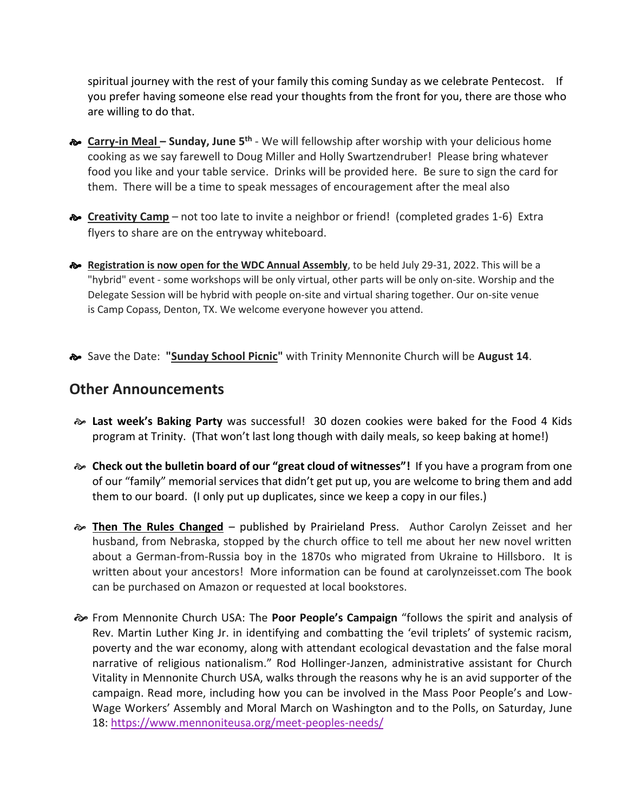spiritual journey with the rest of your family this coming Sunday as we celebrate Pentecost. If you prefer having someone else read your thoughts from the front for you, there are those who are willing to do that.

- **a** Carry-in Meal Sunday, June 5<sup>th</sup> We will fellowship after worship with your delicious home cooking as we say farewell to Doug Miller and Holly Swartzendruber! Please bring whatever food you like and your table service. Drinks will be provided here. Be sure to sign the card for them. There will be a time to speak messages of encouragement after the meal also
- **Exercitivity Camp** not too late to invite a neighbor or friend! (completed grades 1-6) Extra flyers to share are on the entryway whiteboard.
- **Registration is now open for the WDC Annual Assembly**, to be held July 29-31, 2022. This will be a "hybrid" event - some workshops will be only virtual, other parts will be only on-site. Worship and the Delegate Session will be hybrid with people on-site and virtual sharing together. Our on-site venue is Camp Copass, Denton, TX. We welcome everyone however you attend.
- Save the Date: **"Sunday School Picnic"** with Trinity Mennonite Church will be **August 14**.

#### **Other Announcements**

- **Last week's Baking Party** was successful! 30 dozen cookies were baked for the Food 4 Kids program at Trinity. (That won't last long though with daily meals, so keep baking at home!)
- **Check out the bulletin board of our "great cloud of witnesses"!** If you have a program from one of our "family" memorial services that didn't get put up, you are welcome to bring them and add them to our board. (I only put up duplicates, since we keep a copy in our files.)
- **Then The Rules Changed** published by Prairieland Press. Author Carolyn Zeisset and her husband, from Nebraska, stopped by the church office to tell me about her new novel written about a German-from-Russia boy in the 1870s who migrated from Ukraine to Hillsboro. It is written about your ancestors! More information can be found at carolynzeisset.com The book can be purchased on Amazon or requested at local bookstores.
- From Mennonite Church USA: The **Poor People's Campaign** "follows the spirit and analysis of Rev. Martin Luther King Jr. in identifying and combatting the 'evil triplets' of systemic racism, poverty and the war economy, along with attendant ecological devastation and the false moral narrative of religious nationalism." Rod Hollinger-Janzen, administrative assistant for Church Vitality in Mennonite Church USA, walks through the reasons why he is an avid supporter of the campaign. Read more, including how you can be involved in the Mass Poor People's and Low-Wage Workers' Assembly and Moral March on Washington and to the Polls, on Saturday, June 18: [https://www.mennoniteusa.org/meet-peoples-needs/](https://mennoniteusa.us1.list-manage.com/track/click?u=97f16d9c230780d6354d01572&id=4b2eabbf1c&e=f1cba2a9e6)